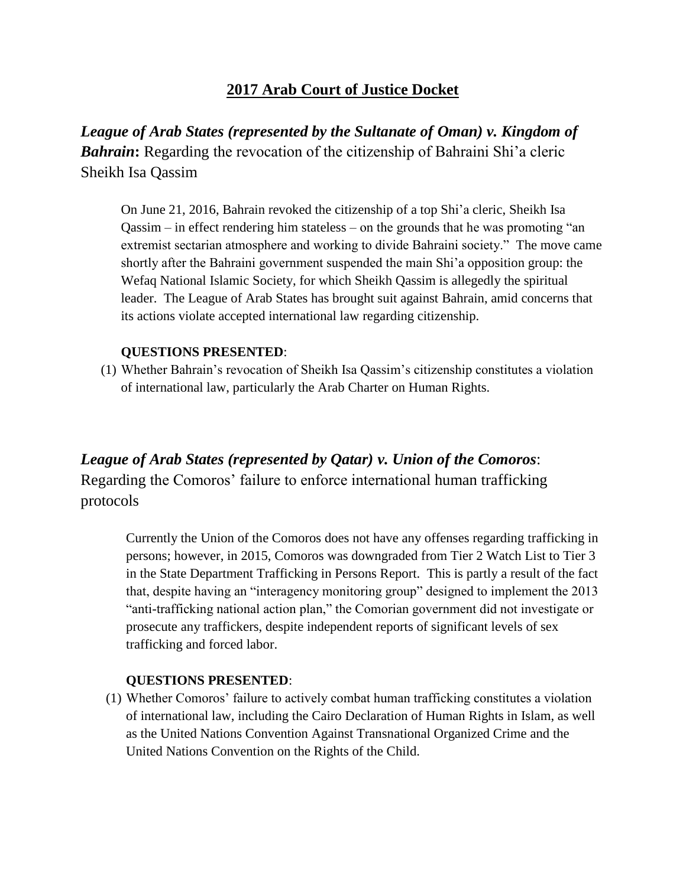# **2017 Arab Court of Justice Docket**

*League of Arab States (represented by the Sultanate of Oman) v. Kingdom of*  **Bahrain:** Regarding the revocation of the citizenship of Bahraini Shi'a cleric Sheikh Isa Qassim

On June 21, 2016, Bahrain revoked the citizenship of a top Shi'a cleric, Sheikh Isa Qassim – in effect rendering him stateless – on the grounds that he was promoting "an extremist sectarian atmosphere and working to divide Bahraini society." The move came shortly after the Bahraini government suspended the main Shi'a opposition group: the Wefaq National Islamic Society, for which Sheikh Qassim is allegedly the spiritual leader. The League of Arab States has brought suit against Bahrain, amid concerns that its actions violate accepted international law regarding citizenship.

## **QUESTIONS PRESENTED**:

(1) Whether Bahrain's revocation of Sheikh Isa Qassim's citizenship constitutes a violation of international law, particularly the Arab Charter on Human Rights.

*League of Arab States (represented by Qatar) v. Union of the Comoros*: Regarding the Comoros' failure to enforce international human trafficking protocols

Currently the Union of the Comoros does not have any offenses regarding trafficking in persons; however, in 2015, Comoros was downgraded from Tier 2 Watch List to Tier 3 in the State Department Trafficking in Persons Report. This is partly a result of the fact that, despite having an "interagency monitoring group" designed to implement the 2013 "anti-trafficking national action plan," the Comorian government did not investigate or prosecute any traffickers, despite independent reports of significant levels of sex trafficking and forced labor.

### **QUESTIONS PRESENTED**:

(1) Whether Comoros' failure to actively combat human trafficking constitutes a violation of international law, including the Cairo Declaration of Human Rights in Islam, as well as the United Nations Convention Against Transnational Organized Crime and the United Nations Convention on the Rights of the Child.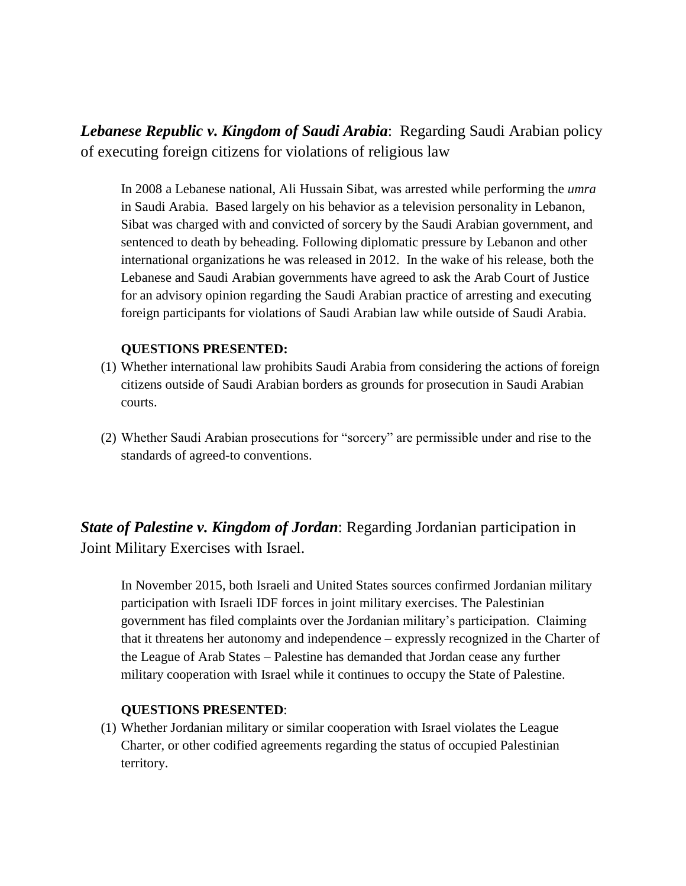*Lebanese Republic v. Kingdom of Saudi Arabia*: Regarding Saudi Arabian policy of executing foreign citizens for violations of religious law

In 2008 a Lebanese national, Ali Hussain Sibat, was arrested while performing the *umra* in Saudi Arabia. Based largely on his behavior as a television personality in Lebanon, Sibat was charged with and convicted of sorcery by the Saudi Arabian government, and sentenced to death by beheading. Following diplomatic pressure by Lebanon and other international organizations he was released in 2012. In the wake of his release, both the Lebanese and Saudi Arabian governments have agreed to ask the Arab Court of Justice for an advisory opinion regarding the Saudi Arabian practice of arresting and executing foreign participants for violations of Saudi Arabian law while outside of Saudi Arabia.

#### **QUESTIONS PRESENTED:**

- (1) Whether international law prohibits Saudi Arabia from considering the actions of foreign citizens outside of Saudi Arabian borders as grounds for prosecution in Saudi Arabian courts.
- (2) Whether Saudi Arabian prosecutions for "sorcery" are permissible under and rise to the standards of agreed-to conventions.

*State of Palestine v. Kingdom of Jordan*: Regarding Jordanian participation in Joint Military Exercises with Israel.

In November 2015, both Israeli and United States sources confirmed Jordanian military participation with Israeli IDF forces in joint military exercises. The Palestinian government has filed complaints over the Jordanian military's participation. Claiming that it threatens her autonomy and independence – expressly recognized in the Charter of the League of Arab States – Palestine has demanded that Jordan cease any further military cooperation with Israel while it continues to occupy the State of Palestine.

#### **QUESTIONS PRESENTED**:

(1) Whether Jordanian military or similar cooperation with Israel violates the League Charter, or other codified agreements regarding the status of occupied Palestinian territory.